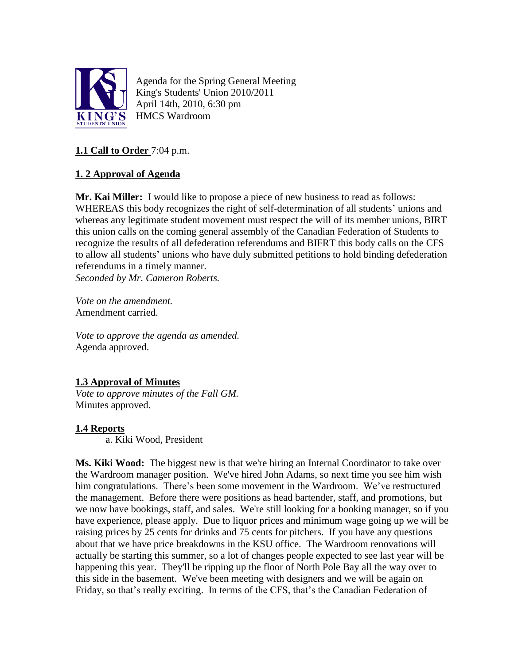

Agenda for the Spring General Meeting King's Students' Union 2010/2011 April 14th, 2010, 6:30 pm HMCS Wardroom

# **1.1 Call to Order** 7:04 p.m.

# **1. 2 Approval of Agenda**

**Mr. Kai Miller:** I would like to propose a piece of new business to read as follows: WHEREAS this body recognizes the right of self-determination of all students' unions and whereas any legitimate student movement must respect the will of its member unions, BIRT this union calls on the coming general assembly of the Canadian Federation of Students to recognize the results of all defederation referendums and BIFRT this body calls on the CFS to allow all students' unions who have duly submitted petitions to hold binding defederation referendums in a timely manner.

*Seconded by Mr. Cameron Roberts.*

*Vote on the amendment.* Amendment carried.

*Vote to approve the agenda as amended.* Agenda approved.

# **1.3 Approval of Minutes**

*Vote to approve minutes of the Fall GM.* Minutes approved.

### **1.4 Reports**

a. Kiki Wood, President

**Ms. Kiki Wood:** The biggest new is that we're hiring an Internal Coordinator to take over the Wardroom manager position. We've hired John Adams, so next time you see him wish him congratulations. There's been some movement in the Wardroom. We've restructured the management. Before there were positions as head bartender, staff, and promotions, but we now have bookings, staff, and sales. We're still looking for a booking manager, so if you have experience, please apply. Due to liquor prices and minimum wage going up we will be raising prices by 25 cents for drinks and 75 cents for pitchers. If you have any questions about that we have price breakdowns in the KSU office. The Wardroom renovations will actually be starting this summer, so a lot of changes people expected to see last year will be happening this year. They'll be ripping up the floor of North Pole Bay all the way over to this side in the basement. We've been meeting with designers and we will be again on Friday, so that's really exciting. In terms of the CFS, that's the Canadian Federation of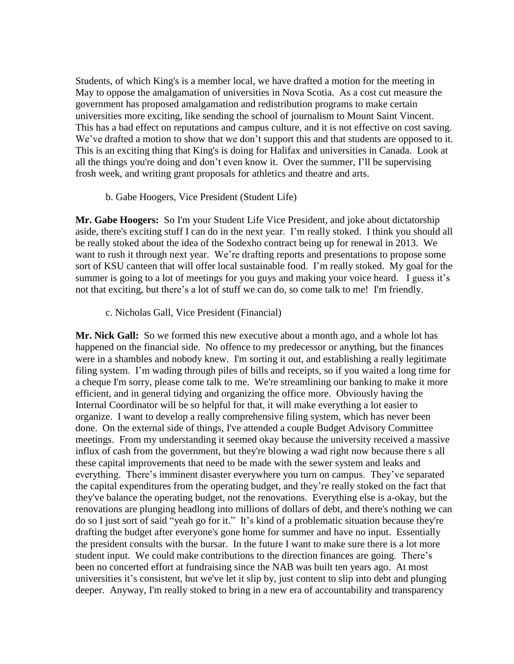Students, of which King's is a member local, we have drafted a motion for the meeting in May to oppose the amalgamation of universities in Nova Scotia. As a cost cut measure the government has proposed amalgamation and redistribution programs to make certain universities more exciting, like sending the school of journalism to Mount Saint Vincent. This has a bad effect on reputations and campus culture, and it is not effective on cost saving. We've drafted a motion to show that we don't support this and that students are opposed to it. This is an exciting thing that King's is doing for Halifax and universities in Canada. Look at all the things you're doing and don't even know it. Over the summer, I'll be supervising frosh week, and writing grant proposals for athletics and theatre and arts.

#### b. Gabe Hoogers, Vice President (Student Life)

**Mr. Gabe Hoogers:** So I'm your Student Life Vice President, and joke about dictatorship aside, there's exciting stuff I can do in the next year. I'm really stoked. I think you should all be really stoked about the idea of the Sodexho contract being up for renewal in 2013. We want to rush it through next year. We're drafting reports and presentations to propose some sort of KSU canteen that will offer local sustainable food. I'm really stoked. My goal for the summer is going to a lot of meetings for you guys and making your voice heard. I guess it's not that exciting, but there's a lot of stuff we can do, so come talk to me! I'm friendly.

c. Nicholas Gall, Vice President (Financial)

**Mr. Nick Gall:** So we formed this new executive about a month ago, and a whole lot has happened on the financial side. No offence to my predecessor or anything, but the finances were in a shambles and nobody knew. I'm sorting it out, and establishing a really legitimate filing system. I'm wading through piles of bills and receipts, so if you waited a long time for a cheque I'm sorry, please come talk to me. We're streamlining our banking to make it more efficient, and in general tidying and organizing the office more. Obviously having the Internal Coordinator will be so helpful for that, it will make everything a lot easier to organize. I want to develop a really comprehensive filing system, which has never been done. On the external side of things, I've attended a couple Budget Advisory Committee meetings. From my understanding it seemed okay because the university received a massive influx of cash from the government, but they're blowing a wad right now because there s all these capital improvements that need to be made with the sewer system and leaks and everything. There's imminent disaster everywhere you turn on campus. They've separated the capital expenditures from the operating budget, and they're really stoked on the fact that they've balance the operating budget, not the renovations. Everything else is a-okay, but the renovations are plunging headlong into millions of dollars of debt, and there's nothing we can do so I just sort of said "yeah go for it." It's kind of a problematic situation because they're drafting the budget after everyone's gone home for summer and have no input. Essentially the president consults with the bursar. In the future I want to make sure there is a lot more student input. We could make contributions to the direction finances are going. There's been no concerted effort at fundraising since the NAB was built ten years ago. At most universities it's consistent, but we've let it slip by, just content to slip into debt and plunging deeper. Anyway, I'm really stoked to bring in a new era of accountability and transparency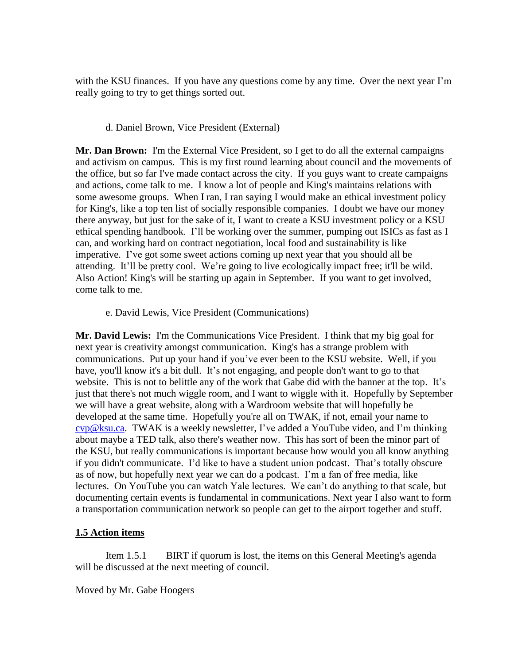with the KSU finances. If you have any questions come by any time. Over the next year I'm really going to try to get things sorted out.

### d. Daniel Brown, Vice President (External)

**Mr. Dan Brown:** I'm the External Vice President, so I get to do all the external campaigns and activism on campus. This is my first round learning about council and the movements of the office, but so far I've made contact across the city. If you guys want to create campaigns and actions, come talk to me. I know a lot of people and King's maintains relations with some awesome groups. When I ran, I ran saying I would make an ethical investment policy for King's, like a top ten list of socially responsible companies. I doubt we have our money there anyway, but just for the sake of it, I want to create a KSU investment policy or a KSU ethical spending handbook. I'll be working over the summer, pumping out ISICs as fast as I can, and working hard on contract negotiation, local food and sustainability is like imperative. I've got some sweet actions coming up next year that you should all be attending. It'll be pretty cool. We're going to live ecologically impact free; it'll be wild. Also Action! King's will be starting up again in September. If you want to get involved, come talk to me.

#### e. David Lewis, Vice President (Communications)

**Mr. David Lewis:** I'm the Communications Vice President. I think that my big goal for next year is creativity amongst communication. King's has a strange problem with communications. Put up your hand if you've ever been to the KSU website. Well, if you have, you'll know it's a bit dull. It's not engaging, and people don't want to go to that website. This is not to belittle any of the work that Gabe did with the banner at the top. It's just that there's not much wiggle room, and I want to wiggle with it. Hopefully by September we will have a great website, along with a Wardroom website that will hopefully be developed at the same time. Hopefully you're all on TWAK, if not, email your name to [cvp@ksu.ca.](mailto:cvp@ksu.ca) TWAK is a weekly newsletter, I've added a YouTube video, and I'm thinking about maybe a TED talk, also there's weather now. This has sort of been the minor part of the KSU, but really communications is important because how would you all know anything if you didn't communicate. I'd like to have a student union podcast. That's totally obscure as of now, but hopefully next year we can do a podcast. I'm a fan of free media, like lectures. On YouTube you can watch Yale lectures. We can't do anything to that scale, but documenting certain events is fundamental in communications. Next year I also want to form a transportation communication network so people can get to the airport together and stuff.

### **1.5 Action items**

Item 1.5.1 BIRT if quorum is lost, the items on this General Meeting's agenda will be discussed at the next meeting of council.

Moved by Mr. Gabe Hoogers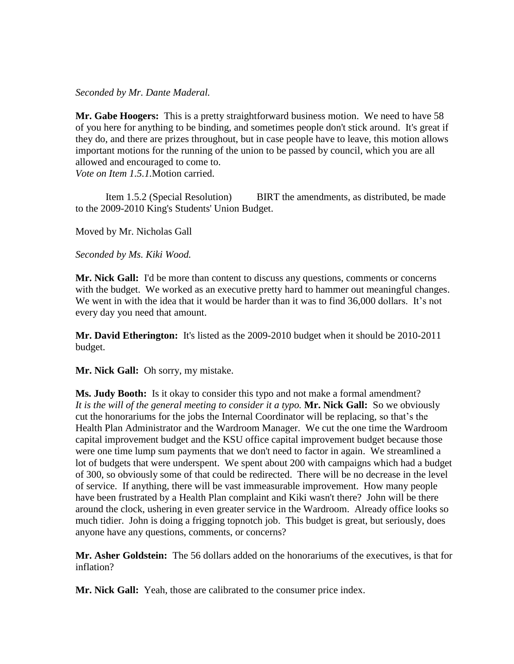#### *Seconded by Mr. Dante Maderal.*

**Mr. Gabe Hoogers:** This is a pretty straightforward business motion. We need to have 58 of you here for anything to be binding, and sometimes people don't stick around. It's great if they do, and there are prizes throughout, but in case people have to leave, this motion allows important motions for the running of the union to be passed by council, which you are all allowed and encouraged to come to.

*Vote on Item 1.5.1.*Motion carried.

Item 1.5.2 (Special Resolution) BIRT the amendments, as distributed, be made to the 2009-2010 King's Students' Union Budget.

Moved by Mr. Nicholas Gall

*Seconded by Ms. Kiki Wood.*

**Mr. Nick Gall:** I'd be more than content to discuss any questions, comments or concerns with the budget. We worked as an executive pretty hard to hammer out meaningful changes. We went in with the idea that it would be harder than it was to find 36,000 dollars. It's not every day you need that amount.

**Mr. David Etherington:** It's listed as the 2009-2010 budget when it should be 2010-2011 budget.

**Mr. Nick Gall:** Oh sorry, my mistake.

**Ms. Judy Booth:** Is it okay to consider this typo and not make a formal amendment? *It is the will of the general meeting to consider it a typo.* **Mr. Nick Gall:** So we obviously cut the honorariums for the jobs the Internal Coordinator will be replacing, so that's the Health Plan Administrator and the Wardroom Manager. We cut the one time the Wardroom capital improvement budget and the KSU office capital improvement budget because those were one time lump sum payments that we don't need to factor in again. We streamlined a lot of budgets that were underspent. We spent about 200 with campaigns which had a budget of 300, so obviously some of that could be redirected. There will be no decrease in the level of service. If anything, there will be vast immeasurable improvement. How many people have been frustrated by a Health Plan complaint and Kiki wasn't there? John will be there around the clock, ushering in even greater service in the Wardroom. Already office looks so much tidier. John is doing a frigging topnotch job. This budget is great, but seriously, does anyone have any questions, comments, or concerns?

**Mr. Asher Goldstein:** The 56 dollars added on the honorariums of the executives, is that for inflation?

**Mr. Nick Gall:** Yeah, those are calibrated to the consumer price index.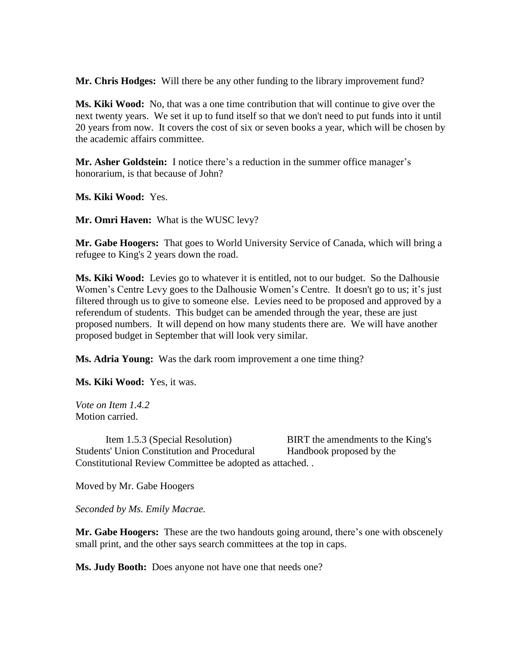**Mr. Chris Hodges:** Will there be any other funding to the library improvement fund?

**Ms. Kiki Wood:** No, that was a one time contribution that will continue to give over the next twenty years. We set it up to fund itself so that we don't need to put funds into it until 20 years from now. It covers the cost of six or seven books a year, which will be chosen by the academic affairs committee.

**Mr. Asher Goldstein:** I notice there's a reduction in the summer office manager's honorarium, is that because of John?

**Ms. Kiki Wood:** Yes.

**Mr. Omri Haven:** What is the WUSC levy?

**Mr. Gabe Hoogers:** That goes to World University Service of Canada, which will bring a refugee to King's 2 years down the road.

**Ms. Kiki Wood:** Levies go to whatever it is entitled, not to our budget. So the Dalhousie Women's Centre Levy goes to the Dalhousie Women's Centre. It doesn't go to us; it's just filtered through us to give to someone else. Levies need to be proposed and approved by a referendum of students. This budget can be amended through the year, these are just proposed numbers. It will depend on how many students there are. We will have another proposed budget in September that will look very similar.

**Ms. Adria Young:** Was the dark room improvement a one time thing?

**Ms. Kiki Wood:** Yes, it was.

*Vote on Item 1.4.2* Motion carried.

Item 1.5.3 (Special Resolution) BIRT the amendments to the King's Students' Union Constitution and Procedural Handbook proposed by the Constitutional Review Committee be adopted as attached. .

Moved by Mr. Gabe Hoogers

*Seconded by Ms. Emily Macrae.*

**Mr. Gabe Hoogers:** These are the two handouts going around, there's one with obscenely small print, and the other says search committees at the top in caps.

**Ms. Judy Booth:** Does anyone not have one that needs one?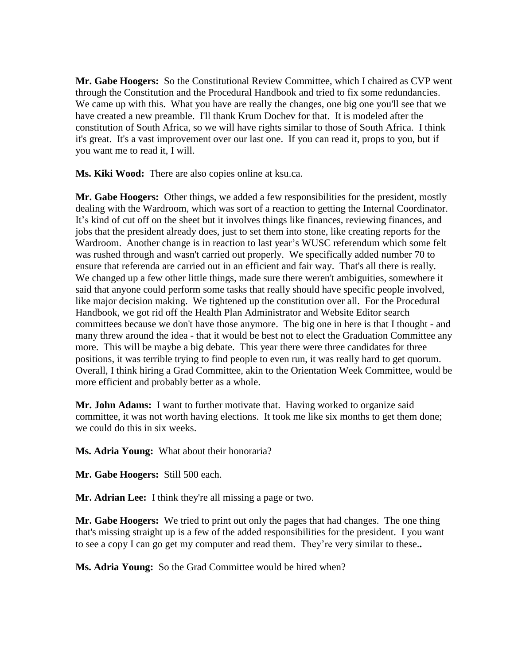**Mr. Gabe Hoogers:** So the Constitutional Review Committee, which I chaired as CVP went through the Constitution and the Procedural Handbook and tried to fix some redundancies. We came up with this. What you have are really the changes, one big one you'll see that we have created a new preamble. I'll thank Krum Dochev for that. It is modeled after the constitution of South Africa, so we will have rights similar to those of South Africa. I think it's great. It's a vast improvement over our last one. If you can read it, props to you, but if you want me to read it, I will.

**Ms. Kiki Wood:** There are also copies online at ksu.ca.

**Mr. Gabe Hoogers:** Other things, we added a few responsibilities for the president, mostly dealing with the Wardroom, which was sort of a reaction to getting the Internal Coordinator. It's kind of cut off on the sheet but it involves things like finances, reviewing finances, and jobs that the president already does, just to set them into stone, like creating reports for the Wardroom. Another change is in reaction to last year's WUSC referendum which some felt was rushed through and wasn't carried out properly. We specifically added number 70 to ensure that referenda are carried out in an efficient and fair way. That's all there is really. We changed up a few other little things, made sure there weren't ambiguities, somewhere it said that anyone could perform some tasks that really should have specific people involved, like major decision making. We tightened up the constitution over all. For the Procedural Handbook, we got rid off the Health Plan Administrator and Website Editor search committees because we don't have those anymore. The big one in here is that I thought - and many threw around the idea - that it would be best not to elect the Graduation Committee any more. This will be maybe a big debate. This year there were three candidates for three positions, it was terrible trying to find people to even run, it was really hard to get quorum. Overall, I think hiring a Grad Committee, akin to the Orientation Week Committee, would be more efficient and probably better as a whole.

**Mr. John Adams:** I want to further motivate that. Having worked to organize said committee, it was not worth having elections. It took me like six months to get them done; we could do this in six weeks.

**Ms. Adria Young:** What about their honoraria?

**Mr. Gabe Hoogers:** Still 500 each.

**Mr. Adrian Lee:** I think they're all missing a page or two.

**Mr. Gabe Hoogers:** We tried to print out only the pages that had changes. The one thing that's missing straight up is a few of the added responsibilities for the president. I you want to see a copy I can go get my computer and read them. They're very similar to these.**.** 

**Ms. Adria Young:** So the Grad Committee would be hired when?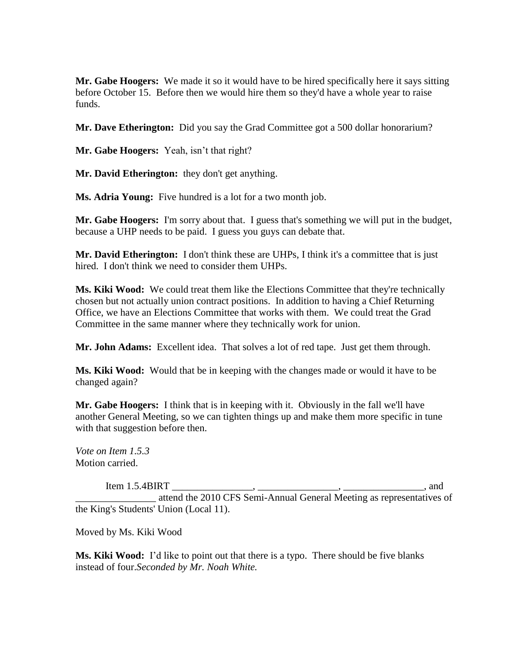**Mr. Gabe Hoogers:** We made it so it would have to be hired specifically here it says sitting before October 15. Before then we would hire them so they'd have a whole year to raise funds.

**Mr. Dave Etherington:** Did you say the Grad Committee got a 500 dollar honorarium?

**Mr. Gabe Hoogers:** Yeah, isn't that right?

**Mr. David Etherington:** they don't get anything.

**Ms. Adria Young:** Five hundred is a lot for a two month job.

**Mr. Gabe Hoogers:** I'm sorry about that. I guess that's something we will put in the budget, because a UHP needs to be paid. I guess you guys can debate that.

**Mr. David Etherington:** I don't think these are UHPs, I think it's a committee that is just hired. I don't think we need to consider them UHPs.

**Ms. Kiki Wood:** We could treat them like the Elections Committee that they're technically chosen but not actually union contract positions. In addition to having a Chief Returning Office, we have an Elections Committee that works with them. We could treat the Grad Committee in the same manner where they technically work for union.

**Mr. John Adams:** Excellent idea. That solves a lot of red tape. Just get them through.

**Ms. Kiki Wood:** Would that be in keeping with the changes made or would it have to be changed again?

**Mr. Gabe Hoogers:** I think that is in keeping with it. Obviously in the fall we'll have another General Meeting, so we can tighten things up and make them more specific in tune with that suggestion before then.

*Vote on Item 1.5.3* Motion carried.

Item 1.5.4BIRT \_\_\_\_\_\_\_\_\_\_\_\_\_\_\_\_, \_\_\_\_\_\_\_\_\_\_\_\_\_\_\_\_, \_\_\_\_\_\_\_\_\_\_\_\_\_\_\_\_, and

attend the 2010 CFS Semi-Annual General Meeting as representatives of the King's Students' Union (Local 11).

Moved by Ms. Kiki Wood

**Ms. Kiki Wood:** I'd like to point out that there is a typo. There should be five blanks instead of four.*Seconded by Mr. Noah White.*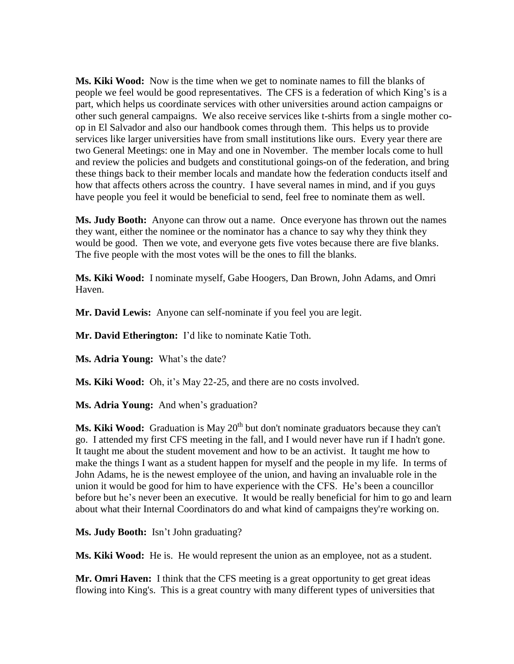**Ms. Kiki Wood:** Now is the time when we get to nominate names to fill the blanks of people we feel would be good representatives. The CFS is a federation of which King's is a part, which helps us coordinate services with other universities around action campaigns or other such general campaigns. We also receive services like t-shirts from a single mother coop in El Salvador and also our handbook comes through them. This helps us to provide services like larger universities have from small institutions like ours. Every year there are two General Meetings: one in May and one in November. The member locals come to hull and review the policies and budgets and constitutional goings-on of the federation, and bring these things back to their member locals and mandate how the federation conducts itself and how that affects others across the country. I have several names in mind, and if you guys have people you feel it would be beneficial to send, feel free to nominate them as well.

**Ms. Judy Booth:** Anyone can throw out a name. Once everyone has thrown out the names they want, either the nominee or the nominator has a chance to say why they think they would be good. Then we vote, and everyone gets five votes because there are five blanks. The five people with the most votes will be the ones to fill the blanks.

**Ms. Kiki Wood:** I nominate myself, Gabe Hoogers, Dan Brown, John Adams, and Omri Haven.

**Mr. David Lewis:** Anyone can self-nominate if you feel you are legit.

**Mr. David Etherington:** I'd like to nominate Katie Toth.

**Ms. Adria Young:** What's the date?

**Ms. Kiki Wood:** Oh, it's May 22-25, and there are no costs involved.

**Ms. Adria Young:** And when's graduation?

**Ms. Kiki Wood:** Graduation is May 20<sup>th</sup> but don't nominate graduators because they can't go. I attended my first CFS meeting in the fall, and I would never have run if I hadn't gone. It taught me about the student movement and how to be an activist. It taught me how to make the things I want as a student happen for myself and the people in my life. In terms of John Adams, he is the newest employee of the union, and having an invaluable role in the union it would be good for him to have experience with the CFS. He's been a councillor before but he's never been an executive. It would be really beneficial for him to go and learn about what their Internal Coordinators do and what kind of campaigns they're working on.

**Ms. Judy Booth:** Isn't John graduating?

**Ms. Kiki Wood:** He is. He would represent the union as an employee, not as a student.

**Mr. Omri Haven:** I think that the CFS meeting is a great opportunity to get great ideas flowing into King's. This is a great country with many different types of universities that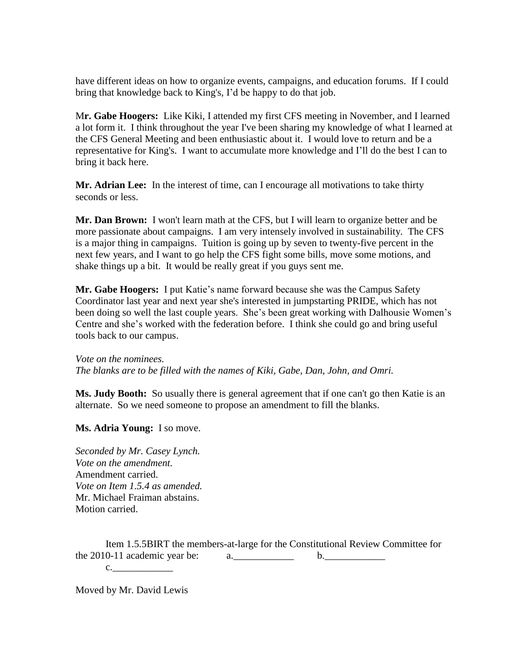have different ideas on how to organize events, campaigns, and education forums. If I could bring that knowledge back to King's, I'd be happy to do that job.

M**r. Gabe Hoogers:** Like Kiki, I attended my first CFS meeting in November, and I learned a lot form it. I think throughout the year I've been sharing my knowledge of what I learned at the CFS General Meeting and been enthusiastic about it. I would love to return and be a representative for King's. I want to accumulate more knowledge and I'll do the best I can to bring it back here.

**Mr. Adrian Lee:** In the interest of time, can I encourage all motivations to take thirty seconds or less.

**Mr. Dan Brown:** I won't learn math at the CFS, but I will learn to organize better and be more passionate about campaigns. I am very intensely involved in sustainability. The CFS is a major thing in campaigns. Tuition is going up by seven to twenty-five percent in the next few years, and I want to go help the CFS fight some bills, move some motions, and shake things up a bit. It would be really great if you guys sent me.

**Mr. Gabe Hoogers:** I put Katie's name forward because she was the Campus Safety Coordinator last year and next year she's interested in jumpstarting PRIDE, which has not been doing so well the last couple years. She's been great working with Dalhousie Women's Centre and she's worked with the federation before. I think she could go and bring useful tools back to our campus.

*Vote on the nominees. The blanks are to be filled with the names of Kiki, Gabe, Dan, John, and Omri.*

**Ms. Judy Booth:** So usually there is general agreement that if one can't go then Katie is an alternate. So we need someone to propose an amendment to fill the blanks.

**Ms. Adria Young:** I so move.

*Seconded by Mr. Casey Lynch. Vote on the amendment.* Amendment carried. *Vote on Item 1.5.4 as amended.* Mr. Michael Fraiman abstains. Motion carried.

Item 1.5.5BIRT the members-at-large for the Constitutional Review Committee for the 2010-11 academic year be:  $a_1 = a_2 = a_3 = a_4$ 

Moved by Mr. David Lewis

c.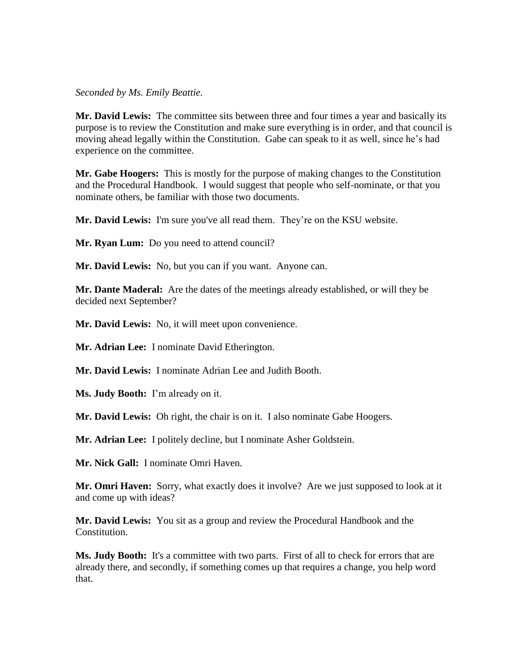*Seconded by Ms. Emily Beattie.*

**Mr. David Lewis:** The committee sits between three and four times a year and basically its purpose is to review the Constitution and make sure everything is in order, and that council is moving ahead legally within the Constitution. Gabe can speak to it as well, since he's had experience on the committee.

**Mr. Gabe Hoogers:** This is mostly for the purpose of making changes to the Constitution and the Procedural Handbook. I would suggest that people who self-nominate, or that you nominate others, be familiar with those two documents.

**Mr. David Lewis:** I'm sure you've all read them. They're on the KSU website.

**Mr. Ryan Lum:** Do you need to attend council?

**Mr. David Lewis:** No, but you can if you want. Anyone can.

**Mr. Dante Maderal:** Are the dates of the meetings already established, or will they be decided next September?

**Mr. David Lewis:** No, it will meet upon convenience.

**Mr. Adrian Lee:** I nominate David Etherington.

**Mr. David Lewis:** I nominate Adrian Lee and Judith Booth.

**Ms. Judy Booth:** I'm already on it.

**Mr. David Lewis:** Oh right, the chair is on it. I also nominate Gabe Hoogers.

**Mr. Adrian Lee:** I politely decline, but I nominate Asher Goldstein.

**Mr. Nick Gall:** I nominate Omri Haven.

**Mr. Omri Haven:** Sorry, what exactly does it involve? Are we just supposed to look at it and come up with ideas?

**Mr. David Lewis:** You sit as a group and review the Procedural Handbook and the Constitution.

**Ms. Judy Booth:** It's a committee with two parts. First of all to check for errors that are already there, and secondly, if something comes up that requires a change, you help word that.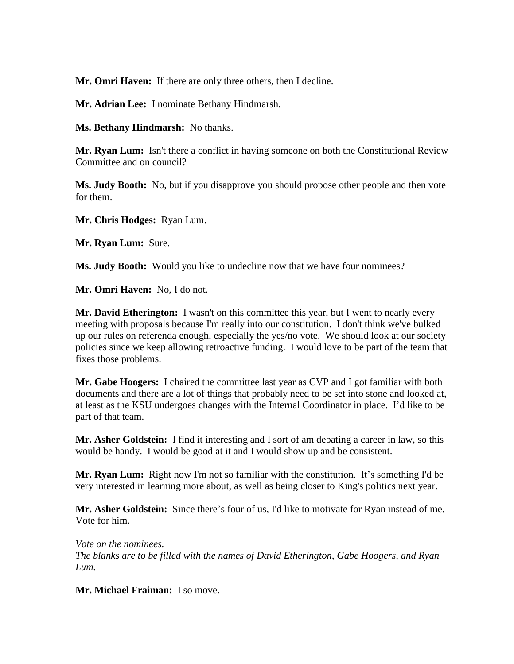**Mr. Omri Haven:** If there are only three others, then I decline.

**Mr. Adrian Lee:** I nominate Bethany Hindmarsh.

**Ms. Bethany Hindmarsh:** No thanks.

**Mr. Ryan Lum:** Isn't there a conflict in having someone on both the Constitutional Review Committee and on council?

**Ms. Judy Booth:** No, but if you disapprove you should propose other people and then vote for them.

**Mr. Chris Hodges:** Ryan Lum.

**Mr. Ryan Lum:** Sure.

**Ms. Judy Booth:** Would you like to undecline now that we have four nominees?

**Mr. Omri Haven:** No, I do not.

**Mr. David Etherington:** I wasn't on this committee this year, but I went to nearly every meeting with proposals because I'm really into our constitution. I don't think we've bulked up our rules on referenda enough, especially the yes/no vote. We should look at our society policies since we keep allowing retroactive funding. I would love to be part of the team that fixes those problems.

**Mr. Gabe Hoogers:** I chaired the committee last year as CVP and I got familiar with both documents and there are a lot of things that probably need to be set into stone and looked at, at least as the KSU undergoes changes with the Internal Coordinator in place. I'd like to be part of that team.

**Mr. Asher Goldstein:** I find it interesting and I sort of am debating a career in law, so this would be handy. I would be good at it and I would show up and be consistent.

**Mr. Ryan Lum:** Right now I'm not so familiar with the constitution. It's something I'd be very interested in learning more about, as well as being closer to King's politics next year.

**Mr. Asher Goldstein:** Since there's four of us, I'd like to motivate for Ryan instead of me. Vote for him.

*Vote on the nominees. The blanks are to be filled with the names of David Etherington, Gabe Hoogers, and Ryan Lum.*

**Mr. Michael Fraiman:** I so move.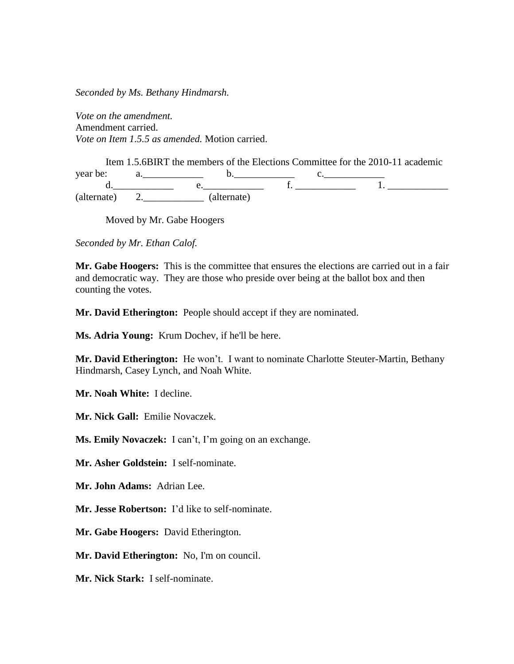*Seconded by Ms. Bethany Hindmarsh.*

*Vote on the amendment.* Amendment carried. *Vote on Item 1.5.5 as amended.* Motion carried.

Item 1.5.6BIRT the members of the Elections Committee for the 2010-11 academic year be:  $a_1 = b_2 = b_3 = 0$ . d.\_\_\_\_\_\_\_\_\_\_\_\_ e.\_\_\_\_\_\_\_\_\_\_\_\_ f. \_\_\_\_\_\_\_\_\_\_\_\_ 1. \_\_\_\_\_\_\_\_\_\_\_\_ (alternate) 2.\_\_\_\_\_\_\_\_\_\_\_\_ (alternate)

Moved by Mr. Gabe Hoogers

*Seconded by Mr. Ethan Calof.*

**Mr. Gabe Hoogers:** This is the committee that ensures the elections are carried out in a fair and democratic way. They are those who preside over being at the ballot box and then counting the votes.

**Mr. David Etherington:** People should accept if they are nominated.

**Ms. Adria Young:** Krum Dochev, if he'll be here.

**Mr. David Etherington:** He won't. I want to nominate Charlotte Steuter-Martin, Bethany Hindmarsh, Casey Lynch, and Noah White.

**Mr. Noah White:** I decline.

**Mr. Nick Gall:** Emilie Novaczek.

**Ms. Emily Novaczek:** I can't, I'm going on an exchange.

**Mr. Asher Goldstein:** I self-nominate.

**Mr. John Adams:** Adrian Lee.

**Mr. Jesse Robertson:** I'd like to self-nominate.

**Mr. Gabe Hoogers:** David Etherington.

**Mr. David Etherington:** No, I'm on council.

**Mr. Nick Stark:** I self-nominate.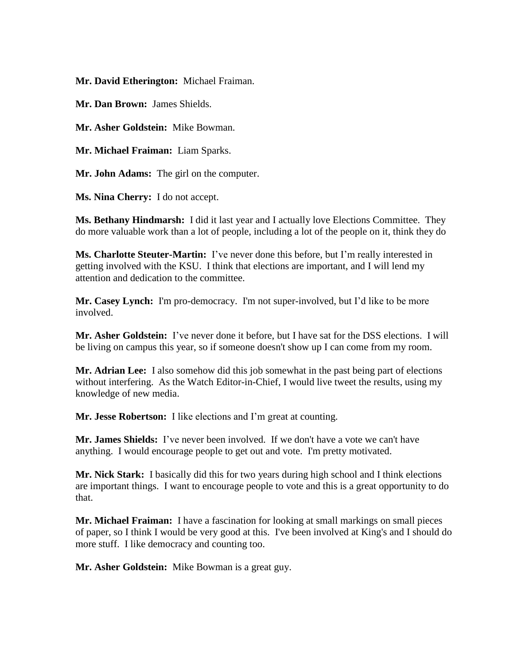**Mr. David Etherington:** Michael Fraiman.

**Mr. Dan Brown:** James Shields.

**Mr. Asher Goldstein:** Mike Bowman.

**Mr. Michael Fraiman:** Liam Sparks.

**Mr. John Adams:** The girl on the computer.

**Ms. Nina Cherry:** I do not accept.

**Ms. Bethany Hindmarsh:** I did it last year and I actually love Elections Committee. They do more valuable work than a lot of people, including a lot of the people on it, think they do

**Ms. Charlotte Steuter-Martin:** I've never done this before, but I'm really interested in getting involved with the KSU. I think that elections are important, and I will lend my attention and dedication to the committee.

**Mr. Casey Lynch:** I'm pro-democracy. I'm not super-involved, but I'd like to be more involved.

**Mr. Asher Goldstein:** I've never done it before, but I have sat for the DSS elections. I will be living on campus this year, so if someone doesn't show up I can come from my room.

**Mr. Adrian Lee:** I also somehow did this job somewhat in the past being part of elections without interfering. As the Watch Editor-in-Chief, I would live tweet the results, using my knowledge of new media.

**Mr. Jesse Robertson:** I like elections and I'm great at counting.

**Mr. James Shields:** I've never been involved. If we don't have a vote we can't have anything. I would encourage people to get out and vote. I'm pretty motivated.

**Mr. Nick Stark:** I basically did this for two years during high school and I think elections are important things. I want to encourage people to vote and this is a great opportunity to do that.

**Mr. Michael Fraiman:** I have a fascination for looking at small markings on small pieces of paper, so I think I would be very good at this. I've been involved at King's and I should do more stuff. I like democracy and counting too.

**Mr. Asher Goldstein:** Mike Bowman is a great guy.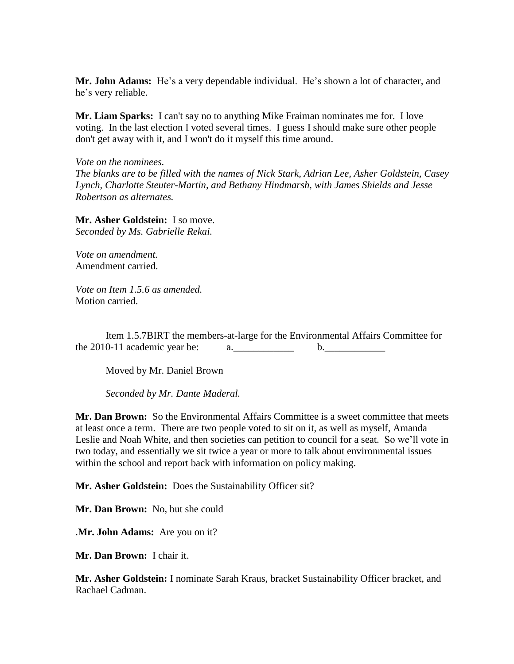**Mr. John Adams:** He's a very dependable individual. He's shown a lot of character, and he's very reliable.

**Mr. Liam Sparks:** I can't say no to anything Mike Fraiman nominates me for. I love voting. In the last election I voted several times. I guess I should make sure other people don't get away with it, and I won't do it myself this time around.

*Vote on the nominees.*

*The blanks are to be filled with the names of Nick Stark, Adrian Lee, Asher Goldstein, Casey Lynch, Charlotte Steuter-Martin, and Bethany Hindmarsh, with James Shields and Jesse Robertson as alternates.*

**Mr. Asher Goldstein:** I so move. *Seconded by Ms. Gabrielle Rekai.*

*Vote on amendment.* Amendment carried.

*Vote on Item 1.5.6 as amended.* Motion carried.

Item 1.5.7BIRT the members-at-large for the Environmental Affairs Committee for the 2010-11 academic year be:  $a_1 = a_2 = a_3$ 

Moved by Mr. Daniel Brown

*Seconded by Mr. Dante Maderal.*

**Mr. Dan Brown:** So the Environmental Affairs Committee is a sweet committee that meets at least once a term. There are two people voted to sit on it, as well as myself, Amanda Leslie and Noah White, and then societies can petition to council for a seat. So we'll vote in two today, and essentially we sit twice a year or more to talk about environmental issues within the school and report back with information on policy making.

**Mr. Asher Goldstein:** Does the Sustainability Officer sit?

**Mr. Dan Brown:** No, but she could

.**Mr. John Adams:** Are you on it?

**Mr. Dan Brown:** I chair it.

**Mr. Asher Goldstein:** I nominate Sarah Kraus, bracket Sustainability Officer bracket, and Rachael Cadman.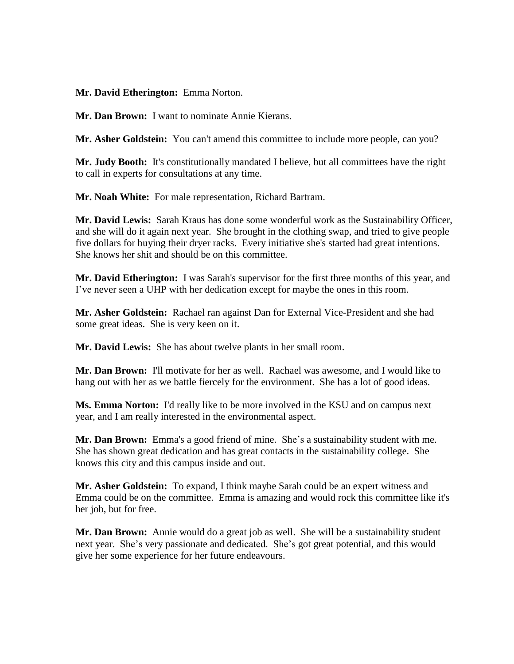**Mr. David Etherington:** Emma Norton.

**Mr. Dan Brown:** I want to nominate Annie Kierans.

**Mr. Asher Goldstein:** You can't amend this committee to include more people, can you?

**Mr. Judy Booth:** It's constitutionally mandated I believe, but all committees have the right to call in experts for consultations at any time.

**Mr. Noah White:** For male representation, Richard Bartram.

**Mr. David Lewis:** Sarah Kraus has done some wonderful work as the Sustainability Officer, and she will do it again next year. She brought in the clothing swap, and tried to give people five dollars for buying their dryer racks. Every initiative she's started had great intentions. She knows her shit and should be on this committee.

**Mr. David Etherington:** I was Sarah's supervisor for the first three months of this year, and I've never seen a UHP with her dedication except for maybe the ones in this room.

**Mr. Asher Goldstein:** Rachael ran against Dan for External Vice-President and she had some great ideas. She is very keen on it.

**Mr. David Lewis:** She has about twelve plants in her small room.

**Mr. Dan Brown:** I'll motivate for her as well. Rachael was awesome, and I would like to hang out with her as we battle fiercely for the environment. She has a lot of good ideas.

**Ms. Emma Norton:** I'd really like to be more involved in the KSU and on campus next year, and I am really interested in the environmental aspect.

**Mr. Dan Brown:** Emma's a good friend of mine. She's a sustainability student with me. She has shown great dedication and has great contacts in the sustainability college. She knows this city and this campus inside and out.

**Mr. Asher Goldstein:** To expand, I think maybe Sarah could be an expert witness and Emma could be on the committee. Emma is amazing and would rock this committee like it's her job, but for free.

**Mr. Dan Brown:** Annie would do a great job as well. She will be a sustainability student next year. She's very passionate and dedicated. She's got great potential, and this would give her some experience for her future endeavours.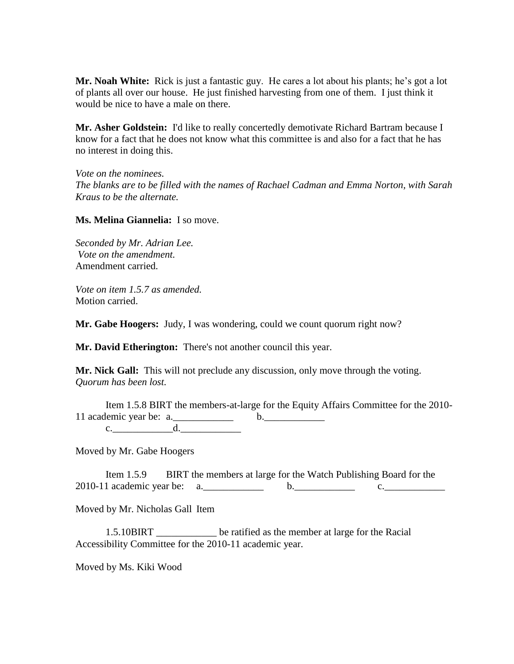**Mr. Noah White:** Rick is just a fantastic guy. He cares a lot about his plants; he's got a lot of plants all over our house. He just finished harvesting from one of them. I just think it would be nice to have a male on there.

**Mr. Asher Goldstein:** I'd like to really concertedly demotivate Richard Bartram because I know for a fact that he does not know what this committee is and also for a fact that he has no interest in doing this.

*Vote on the nominees. The blanks are to be filled with the names of Rachael Cadman and Emma Norton, with Sarah Kraus to be the alternate.*

**Ms. Melina Giannelia:** I so move.

*Seconded by Mr. Adrian Lee. Vote on the amendment.* Amendment carried.

*Vote on item 1.5.7 as amended.* Motion carried.

**Mr. Gabe Hoogers:** Judy, I was wondering, could we count quorum right now?

**Mr. David Etherington:** There's not another council this year.

**Mr. Nick Gall:** This will not preclude any discussion, only move through the voting. *Quorum has been lost.*

Item 1.5.8 BIRT the members-at-large for the Equity Affairs Committee for the 2010- 11 academic year be: a.\_\_\_\_\_\_\_\_\_\_\_\_ b.\_\_\_\_\_\_\_\_\_\_\_\_  $c.$   $d.$ 

Moved by Mr. Gabe Hoogers

Item 1.5.9 BIRT the members at large for the Watch Publishing Board for the  $2010-11$  academic year be: a. b. c.

Moved by Mr. Nicholas Gall Item

1.5.10BIRT \_\_\_\_\_\_\_\_\_\_\_\_ be ratified as the member at large for the Racial Accessibility Committee for the 2010-11 academic year.

Moved by Ms. Kiki Wood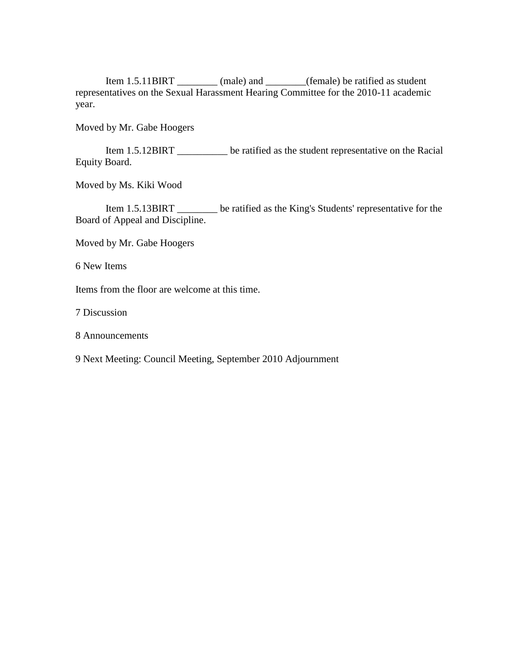Item 1.5.11BIRT (male) and (female) be ratified as student representatives on the Sexual Harassment Hearing Committee for the 2010-11 academic year.

Moved by Mr. Gabe Hoogers

Item 1.5.12BIRT \_\_\_\_\_\_\_\_\_\_ be ratified as the student representative on the Racial Equity Board.

Moved by Ms. Kiki Wood

Item 1.5.13BIRT \_\_\_\_\_\_\_\_ be ratified as the King's Students' representative for the Board of Appeal and Discipline.

Moved by Mr. Gabe Hoogers

6 New Items

Items from the floor are welcome at this time.

7 Discussion

8 Announcements

9 Next Meeting: Council Meeting, September 2010 Adjournment